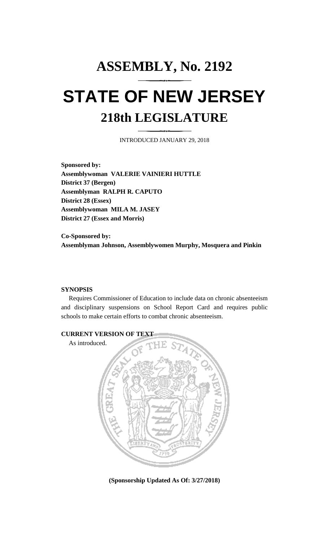# **ASSEMBLY, No. 2192 STATE OF NEW JERSEY 218th LEGISLATURE**

INTRODUCED JANUARY 29, 2018

**Sponsored by: Assemblywoman VALERIE VAINIERI HUTTLE District 37 (Bergen) Assemblyman RALPH R. CAPUTO District 28 (Essex) Assemblywoman MILA M. JASEY District 27 (Essex and Morris)**

**Co-Sponsored by: Assemblyman Johnson, Assemblywomen Murphy, Mosquera and Pinkin**

### **SYNOPSIS**

Requires Commissioner of Education to include data on chronic absenteeism and disciplinary suspensions on School Report Card and requires public schools to make certain efforts to combat chronic absenteeism.



**(Sponsorship Updated As Of: 3/27/2018)**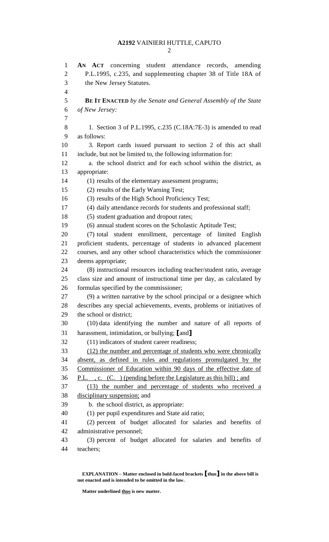# **A2192** VAINIERI HUTTLE, CAPUTO

 **AN ACT** concerning student attendance records, amending P.L.1995, c.235, and supplementing chapter 38 of Title 18A of the New Jersey Statutes. **BE IT ENACTED** *by the Senate and General Assembly of the State of New Jersey:* 1. Section 3 of P.L.1995, c.235 (C.18A:7E-3) is amended to read as follows: 3. Report cards issued pursuant to section 2 of this act shall include, but not be limited to, the following information for: a. the school district and for each school within the district, as appropriate: (1) results of the elementary assessment programs; (2) results of the Early Warning Test; (3) results of the High School Proficiency Test; (4) daily attendance records for students and professional staff; (5) student graduation and dropout rates; (6) annual student scores on the Scholastic Aptitude Test; (7) total student enrollment, percentage of limited English proficient students, percentage of students in advanced placement courses, and any other school characteristics which the commissioner deems appropriate; (8) instructional resources including teacher/student ratio, average class size and amount of instructional time per day, as calculated by formulas specified by the commissioner; (9) a written narrative by the school principal or a designee which describes any special achievements, events, problems or initiatives of the school or district; (10) data identifying the number and nature of all reports of harassment, intimidation, or bullying; **[**and**]** (11) indicators of student career readiness; (12) the number and percentage of students who were chronically absent, as defined in rules and regulations promulgated by the Commissioner of Education within 90 days of the effective date of P.L. , c. (C. ) (pending before the Legislature as this bill) ; and (13) the number and percentage of students who received a disciplinary suspension; and b. the school district, as appropriate: (1) per pupil expenditures and State aid ratio; (2) percent of budget allocated for salaries and benefits of administrative personnel; (3) percent of budget allocated for salaries and benefits of teachers;

**EXPLANATION – Matter enclosed in bold-faced brackets [thus] in the above bill is not enacted and is intended to be omitted in the law.**

**Matter underlined thus is new matter.**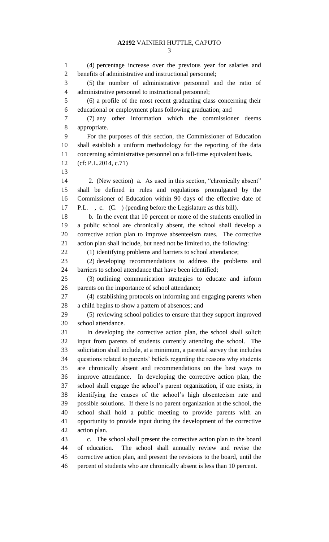#### **A2192** VAINIERI HUTTLE, CAPUTO

 (4) percentage increase over the previous year for salaries and benefits of administrative and instructional personnel; (5) the number of administrative personnel and the ratio of administrative personnel to instructional personnel; (6) a profile of the most recent graduating class concerning their educational or employment plans following graduation; and (7) any other information which the commissioner deems appropriate. For the purposes of this section, the Commissioner of Education shall establish a uniform methodology for the reporting of the data concerning administrative personnel on a full-time equivalent basis. (cf: P.L.2014, c.71) 2. (New section) a. As used in this section, "chronically absent" shall be defined in rules and regulations promulgated by the Commissioner of Education within 90 days of the effective date of P.L. , c. (C. ) (pending before the Legislature as this bill). b. In the event that 10 percent or more of the students enrolled in a public school are chronically absent, the school shall develop a corrective action plan to improve absenteeism rates. The corrective action plan shall include, but need not be limited to, the following: 22 (1) identifying problems and barriers to school attendance; (2) developing recommendations to address the problems and barriers to school attendance that have been identified; (3) outlining communication strategies to educate and inform parents on the importance of school attendance; (4) establishing protocols on informing and engaging parents when a child begins to show a pattern of absences; and (5) reviewing school policies to ensure that they support improved school attendance. In developing the corrective action plan, the school shall solicit input from parents of students currently attending the school. The solicitation shall include, at a minimum, a parental survey that includes questions related to parents' beliefs regarding the reasons why students are chronically absent and recommendations on the best ways to improve attendance. In developing the corrective action plan, the school shall engage the school's parent organization, if one exists, in identifying the causes of the school's high absenteeism rate and possible solutions. If there is no parent organization at the school, the school shall hold a public meeting to provide parents with an opportunity to provide input during the development of the corrective action plan. c. The school shall present the corrective action plan to the board of education. The school shall annually review and revise the corrective action plan, and present the revisions to the board, until the percent of students who are chronically absent is less than 10 percent.